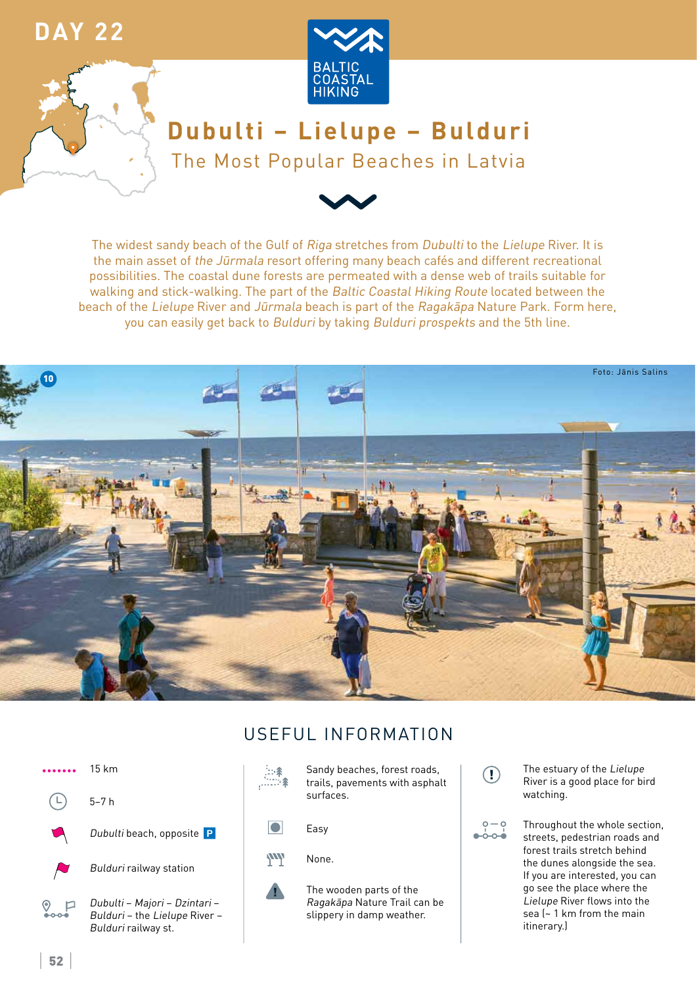### **DAY 22**





# Dubulti - Lielupe - Bulduri The Most Popular Beaches in Latvia



The widest sandy beach of the Gulf of Riga stretches from Dubulti to the Lielupe River. It is the main asset of the Jūrmala resort offering many beach cafés and different recreational possibilities. The coastal dune forests are permeated with a dense web of trails suitable for walking and stick-walking. The part of the Baltic Coastal Hiking Route located between the beach of the Lielupe River and Jūrmala beach is part of the Ragakapa Nature Park. Form here, you can easily get back to Bulduri by taking Bulduri prospekts and the 5th line.





### USFFUL INFORMATION



 $\left( \Gamma \right)$ 

 $o - o$ 

உ்⊶்

The estuary of the Lielupe River is a good place for bird watching.

Throughout the whole section, streets, pedestrian roads and forest trails stretch behind the dunes alongside the sea. If you are interested, you can go see the place where the Lielupe River flows into the sea (~1 km from the main itinerary.)

 $52$